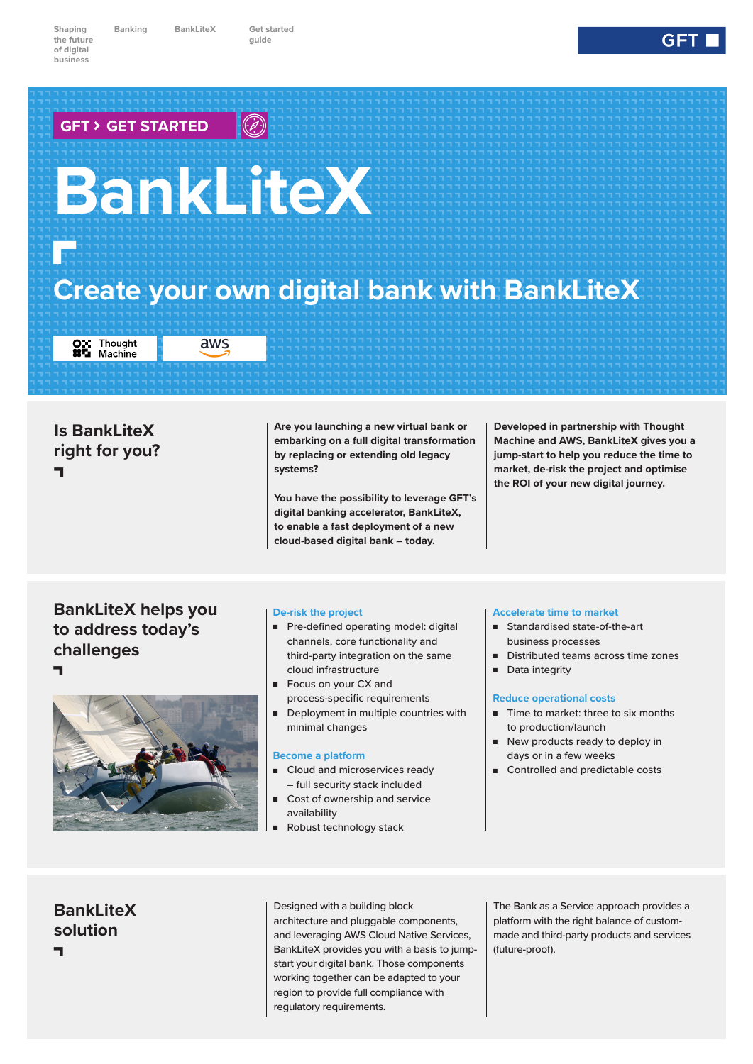**Banking BankLiteX Get started** 

**guide**

# **BankLiteX B**<br>Banda<br>Banda<br>Banda **GFT � GET STARTED**

## **Create your own digital bank with BankLiteX**

OX Thought<br>**85** Machine

aws

### **Is BankLiteX right for you? A**

**Are you launching a new virtual bank or embarking on a full digital transformation by replacing or extending old legacy systems?**

**You have the possibility to leverage GFT's digital banking accelerator, BankLiteX, to enable a fast deployment of a new cloud-based digital bank – today.**

**Developed in partnership with Thought Machine and AWS, BankLiteX gives you a jump-start to help you reduce the time to market, de-risk the project and optimise the ROI of your new digital journey.** 

#### **BankLiteX helps you to address today's challenges A**



#### **De-risk the project**

- Pre-defined operating model: digital channels, core functionality and third-party integration on the same cloud infrastructure
- Focus on your CX and process-specific requirements
- Deployment in multiple countries with minimal changes

#### **Become a platform**

- Cloud and microservices ready – full security stack included
- Cost of ownership and service availability
- Robust technology stack

#### **Accelerate time to market**

- Standardised state-of-the-art business processes
- Distributed teams across time zones
- Data integrity

#### **Reduce operational costs**

- Time to market: three to six months to production/launch
- New products ready to deploy in days or in a few weeks
- Controlled and predictable costs

**BankLiteX solution A**

Designed with a building block architecture and pluggable components, and leveraging AWS Cloud Native Services, BankLiteX provides you with a basis to jumpstart your digital bank. Those components working together can be adapted to your region to provide full compliance with regulatory requirements.

The Bank as a Service approach provides a platform with the right balance of custommade and third-party products and services (future-proof).